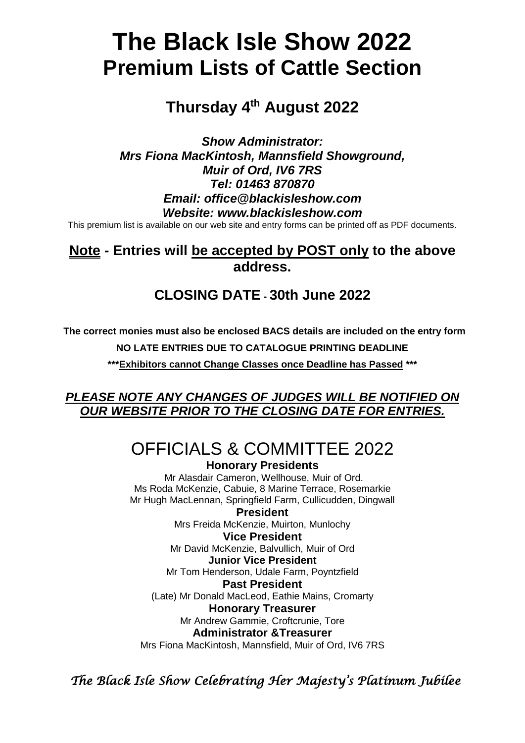# **The Black Isle Show 2022 Premium Lists of Cattle Section**

# **Thursday 4 th August 2022**

*Show Administrator: Mrs Fiona MacKintosh, Mannsfield Showground, Muir of Ord, IV6 7RS Tel: 01463 870870 Email: office@blackisleshow.com Website: www.blackisleshow.com*

This premium list is available on our web site and entry forms can be printed off as PDF documents.

# **Note - Entries will be accepted by POST only to the above address.**

# **CLOSING DATE - 30th June 2022**

**The correct monies must also be enclosed BACS details are included on the entry form** 

**NO LATE ENTRIES DUE TO CATALOGUE PRINTING DEADLINE**

**\*\*\*Exhibitors cannot Change Classes once Deadline has Passed \*\*\***

### *PLEASE NOTE ANY CHANGES OF JUDGES WILL BE NOTIFIED ON OUR WEBSITE PRIOR TO THE CLOSING DATE FOR ENTRIES.*

# OFFICIALS & COMMITTEE 2022

**Honorary Presidents** Mr Alasdair Cameron, Wellhouse, Muir of Ord. Ms Roda McKenzie, Cabuie, 8 Marine Terrace, Rosemarkie Mr Hugh MacLennan, Springfield Farm, Cullicudden, Dingwall

**President** Mrs Freida McKenzie, Muirton, Munlochy **Vice President** Mr David McKenzie, Balvullich, Muir of Ord **Junior Vice President** Mr Tom Henderson, Udale Farm, Poyntzfield

**Past President**

(Late) Mr Donald MacLeod, Eathie Mains, Cromarty

**Honorary Treasurer**

Mr Andrew Gammie, Croftcrunie, Tore

**Administrator &Treasurer**

Mrs Fiona MacKintosh, Mannsfield, Muir of Ord, IV6 7RS

*The Black Isle Show Celebrating Her Majesty's Platinum Jubilee*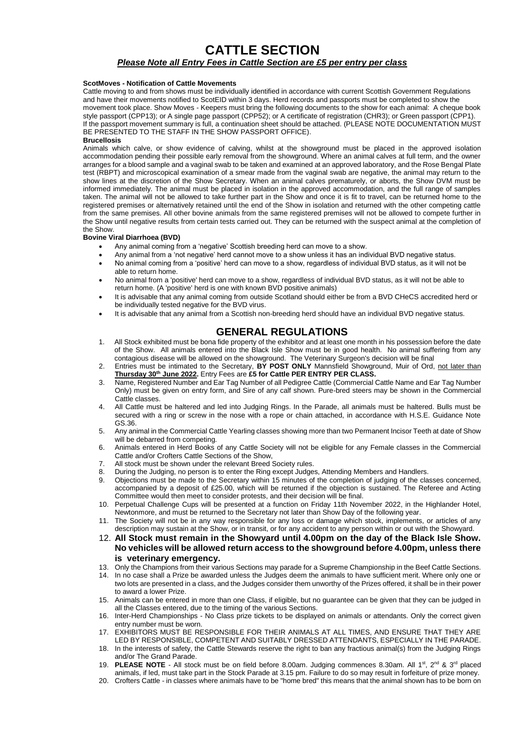#### **CATTLE SECTION** *Please Note all Entry Fees in Cattle Section are £5 per entry per class*

#### **ScotMoves - Notification of Cattle Movements**

Cattle moving to and from shows must be individually identified in accordance with current Scottish Government Regulations and have their movements notified to ScotEID within 3 days. Herd records and passports must be completed to show the movement took place. Show Moves - Keepers must bring the following documents to the show for each animal: A cheque book style passport (CPP13); or A single page passport (CPP52); or A certificate of registration (CHR3); or Green passport (CPP1). If the passport movement summary is full, a continuation sheet should be attached. (PLEASE NOTE DOCUMENTATION MUST BE PRESENTED TO THE STAFF IN THE SHOW PASSPORT OFFICE).

#### **Brucellosis**

Animals which calve, or show evidence of calving, whilst at the showground must be placed in the approved isolation accommodation pending their possible early removal from the showground. Where an animal calves at full term, and the owner arranges for a blood sample and a vaginal swab to be taken and examined at an approved laboratory, and the Rose Bengal Plate test (RBPT) and microscopical examination of a smear made from the vaginal swab are negative, the animal may return to the show lines at the discretion of the Show Secretary. When an animal calves prematurely, or aborts, the Show DVM must be informed immediately. The animal must be placed in isolation in the approved accommodation, and the full range of samples taken. The animal will not be allowed to take further part in the Show and once it is fit to travel, can be returned home to the registered premises or alternatively retained until the end of the Show in isolation and returned with the other competing cattle from the same premises. All other bovine animals from the same registered premises will not be allowed to compete further in the Show until negative results from certain tests carried out. They can be returned with the suspect animal at the completion of the Show.

#### **Bovine Viral Diarrhoea (BVD)**

- Any animal coming from a 'negative' Scottish breeding herd can move to a show.
- Any animal from a 'not negative' herd cannot move to a show unless it has an individual BVD negative status.
- No animal coming from a 'positive' herd can move to a show, regardless of individual BVD status, as it will not be able to return home.
- No animal from a 'positive' herd can move to a show, regardless of individual BVD status, as it will not be able to return home. (A 'positive' herd is one with known BVD positive animals)
- It is advisable that any animal coming from outside Scotland should either be from a BVD CHeCS accredited herd or be individually tested negative for the BVD virus.
- It is advisable that any animal from a Scottish non-breeding herd should have an individual BVD negative status.

#### **GENERAL REGULATIONS**

- 1. All Stock exhibited must be bona fide property of the exhibitor and at least one month in his possession before the date of the Show. All animals entered into the Black Isle Show must be in good health. No animal suffering from any contagious disease will be allowed on the showground. The Veterinary Surgeon's decision will be final
- 2. Entries must be intimated to the Secretary, **BY POST ONLY** Mannsfield Showground, Muir of Ord, not later than **Thursday 30th June 2022.** Entry Fees are **£5 for Cattle PER ENTRY PER CLASS.**
- 3. Name, Registered Number and Ear Tag Number of all Pedigree Cattle (Commercial Cattle Name and Ear Tag Number Only) must be given on entry form, and Sire of any calf shown. Pure-bred steers may be shown in the Commercial Cattle classes.
- 4. All Cattle must be haltered and led into Judging Rings. In the Parade, all animals must be haltered. Bulls must be secured with a ring or screw in the nose with a rope or chain attached, in accordance with H.S.E. Guidance Note GS.36.
- 5. Any animal in the Commercial Cattle Yearling classes showing more than two Permanent Incisor Teeth at date of Show will be debarred from competing.
- 6. Animals entered in Herd Books of any Cattle Society will not be eligible for any Female classes in the Commercial Cattle and/or Crofters Cattle Sections of the Show,
- 7. All stock must be shown under the relevant Breed Society rules.
- 8. During the Judging, no person is to enter the Ring except Judges, Attending Members and Handlers.
- 9. Objections must be made to the Secretary within 15 minutes of the completion of judging of the classes concerned, accompanied by a deposit of £25.00, which will be returned if the objection is sustained. The Referee and Acting Committee would then meet to consider protests, and their decision will be final.
- 10. Perpetual Challenge Cups will be presented at a function on Friday 11th November 2022, in the Highlander Hotel, Newtonmore, and must be returned to the Secretary not later than Show Day of the following year.
- 11. The Society will not be in any way responsible for any loss or damage which stock, implements, or articles of any description may sustain at the Show, or in transit, or for any accident to any person within or out with the Showyard.
- 12. **All Stock must remain in the Showyard until 4.00pm on the day of the Black Isle Show. No vehicles will be allowed return access to the showground before 4.00pm, unless there is veterinary emergency.**
- 13. Only the Champions from their various Sections may parade for a Supreme Championship in the Beef Cattle Sections.
- 14. In no case shall a Prize be awarded unless the Judges deem the animals to have sufficient merit. Where only one or two lots are presented in a class, and the Judges consider them unworthy of the Prizes offered, it shall be in their power to award a lower Prize.
- 15. Animals can be entered in more than one Class, if eligible, but no guarantee can be given that they can be judged in all the Classes entered, due to the timing of the various Sections.
- 16. Inter-Herd Championships No Class prize tickets to be displayed on animals or attendants. Only the correct given entry number must be worn.
- 17. EXHIBITORS MUST BE RESPONSIBLE FOR THEIR ANIMALS AT ALL TIMES, AND ENSURE THAT THEY ARE LED BY RESPONSIBLE, COMPETENT AND SUITABLY DRESSED ATTENDANTS, ESPECIALLY IN THE PARADE.
- 18. In the interests of safety, the Cattle Stewards reserve the right to ban any fractious animal(s) from the Judging Rings and/or The Grand Parade.
- 19. **PLEASE NOTE** All stock must be on field before 8.00am. Judging commences 8.30am. All 1<sup>st</sup>, 2<sup>nd</sup> & 3<sup>rd</sup> placed animals, if led, must take part in the Stock Parade at 3.15 pm. Failure to do so may result in forfeiture of prize money.
- 20. Crofters Cattle in classes where animals have to be "home bred" this means that the animal shown has to be born on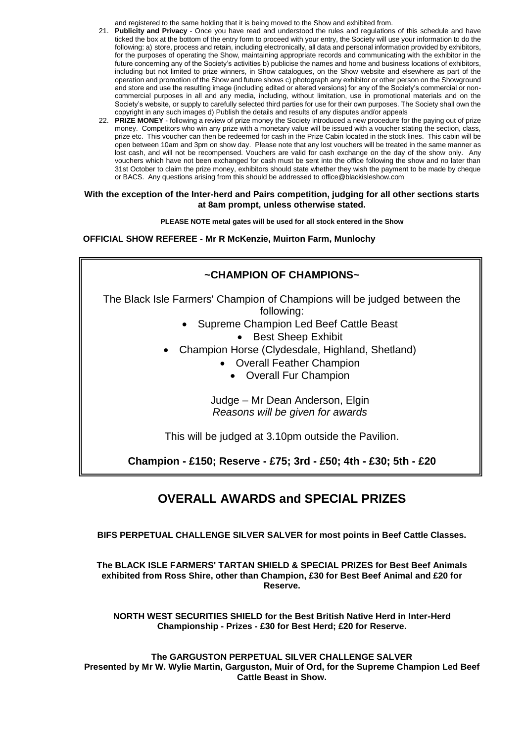and registered to the same holding that it is being moved to the Show and exhibited from.

- 21. **Publicity and Privacy** Once you have read and understood the rules and regulations of this schedule and have ticked the box at the bottom of the entry form to proceed with your entry, the Society will use your information to do the following: a) store, process and retain, including electronically, all data and personal information provided by exhibitors, for the purposes of operating the Show, maintaining appropriate records and communicating with the exhibitor in the future concerning any of the Society's activities b) publicise the names and home and business locations of exhibitors, including but not limited to prize winners, in Show catalogues, on the Show website and elsewhere as part of the operation and promotion of the Show and future shows c) photograph any exhibitor or other person on the Showground and store and use the resulting image (including edited or altered versions) for any of the Society's commercial or noncommercial purposes in all and any media, including, without limitation, use in promotional materials and on the Society's website, or supply to carefully selected third parties for use for their own purposes. The Society shall own the copyright in any such images d) Publish the details and results of any disputes and/or appeals
- 22. **PRIZE MONEY** following a review of prize money the Society introduced a new procedure for the paying out of prize money. Competitors who win any prize with a monetary value will be issued with a voucher stating the section, class, prize etc. This voucher can then be redeemed for cash in the Prize Cabin located in the stock lines. This cabin will be open between 10am and 3pm on show day. Please note that any lost vouchers will be treated in the same manner as lost cash, and will not be recompensed. Vouchers are valid for cash exchange on the day of the show only. Any vouchers which have not been exchanged for cash must be sent into the office following the show and no later than 31st October to claim the prize money, exhibitors should state whether they wish the payment to be made by cheque or BACS. Any questions arising from this should be addressed to office@blackisleshow.com

#### **With the exception of the Inter-herd and Pairs competition, judging for all other sections starts at 8am prompt, unless otherwise stated.**

**PLEASE NOTE metal gates will be used for all stock entered in the Show**

**OFFICIAL SHOW REFEREE - Mr R McKenzie, Muirton Farm, Munlochy**

### **~CHAMPION OF CHAMPIONS~**

The Black Isle Farmers' Champion of Champions will be judged between the following:

- Supreme Champion Led Beef Cattle Beast
	- Best Sheep Exhibit
- Champion Horse (Clydesdale, Highland, Shetland)
	- Overall Feather Champion
		- Overall Fur Champion

Judge – Mr Dean Anderson, Elgin *Reasons will be given for awards*

This will be judged at 3.10pm outside the Pavilion.

**Champion - £150; Reserve - £75; 3rd - £50; 4th - £30; 5th - £20**

# **OVERALL AWARDS and SPECIAL PRIZES**

**BIFS PERPETUAL CHALLENGE SILVER SALVER for most points in Beef Cattle Classes.**

**The BLACK ISLE FARMERS' TARTAN SHIELD & SPECIAL PRIZES for Best Beef Animals exhibited from Ross Shire, other than Champion, £30 for Best Beef Animal and £20 for Reserve.** 

**NORTH WEST SECURITIES SHIELD for the Best British Native Herd in Inter-Herd Championship - Prizes - £30 for Best Herd; £20 for Reserve.** 

**The GARGUSTON PERPETUAL SILVER CHALLENGE SALVER Presented by Mr W. Wylie Martin, Garguston, Muir of Ord, for the Supreme Champion Led Beef Cattle Beast in Show.**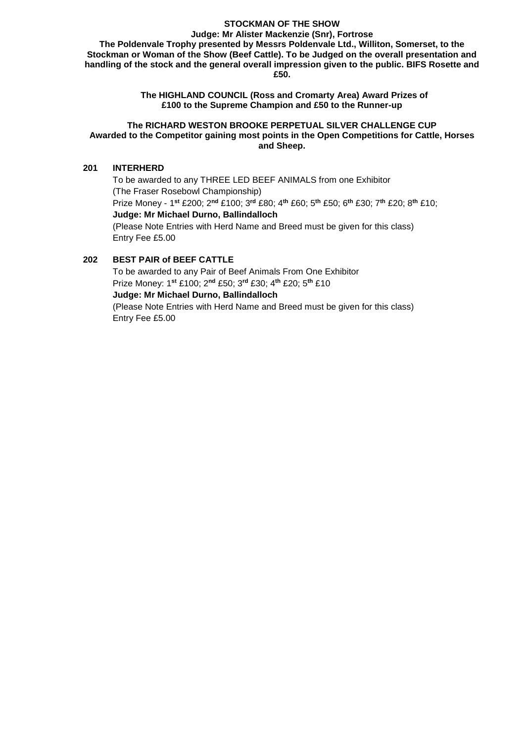#### **STOCKMAN OF THE SHOW**

**Judge: Mr Alister Mackenzie (Snr), Fortrose The Poldenvale Trophy presented by Messrs Poldenvale Ltd., Williton, Somerset, to the Stockman or Woman of the Show (Beef Cattle). To be Judged on the overall presentation and handling of the stock and the general overall impression given to the public. BIFS Rosette and £50.** 

> **The HIGHLAND COUNCIL (Ross and Cromarty Area) Award Prizes of £100 to the Supreme Champion and £50 to the Runner-up**

#### **The RICHARD WESTON BROOKE PERPETUAL SILVER CHALLENGE CUP Awarded to the Competitor gaining most points in the Open Competitions for Cattle, Horses and Sheep.**

#### **201 INTERHERD**

To be awarded to any THREE LED BEEF ANIMALS from one Exhibitor (The Fraser Rosebowl Championship) Prize Money - 1 **st** £200; 2**nd** £100; 3**rd** £80; 4**th** £60; 5**th** £50; 6**th** £30; 7**th** £20; 8**th** £10; **Judge: Mr Michael Durno, Ballindalloch** (Please Note Entries with Herd Name and Breed must be given for this class) Entry Fee £5.00

#### **202 BEST PAIR of BEEF CATTLE**

To be awarded to any Pair of Beef Animals From One Exhibitor Prize Money: 1**st** £100; 2**nd** £50; 3**rd** £30; 4**th** £20; 5**th** £10 **Judge: Mr Michael Durno, Ballindalloch** (Please Note Entries with Herd Name and Breed must be given for this class) Entry Fee £5.00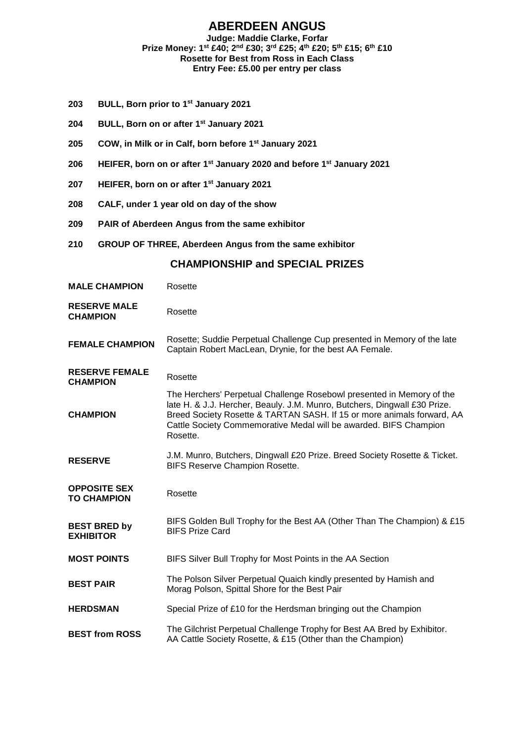### **ABERDEEN ANGUS**

#### **Judge: Maddie Clarke, Forfar Prize Money: 1st £40; 2nd £30; 3rd £25; 4th £20; 5th £15; 6th £10 Rosette for Best from Ross in Each Class Entry Fee: £5.00 per entry per class**

- **203 BULL, Born prior to 1st January 2021**
- **204 BULL, Born on or after 1st January 2021**
- **205 COW, in Milk or in Calf, born before 1st January 2021**
- **206 HEIFER, born on or after 1st January 2020 and before 1st January 2021**
- **207 HEIFER, born on or after 1st January 2021**
- **208 CALF, under 1 year old on day of the show**
- **209 PAIR of Aberdeen Angus from the same exhibitor**
- **210 GROUP OF THREE, Aberdeen Angus from the same exhibitor**

| <b>MALE CHAMPION</b>                      | Rosette                                                                                                                                                                                                                                                                                                       |
|-------------------------------------------|---------------------------------------------------------------------------------------------------------------------------------------------------------------------------------------------------------------------------------------------------------------------------------------------------------------|
| <b>RESERVE MALE</b><br><b>CHAMPION</b>    | Rosette                                                                                                                                                                                                                                                                                                       |
| <b>FEMALE CHAMPION</b>                    | Rosette; Suddie Perpetual Challenge Cup presented in Memory of the late<br>Captain Robert MacLean, Drynie, for the best AA Female.                                                                                                                                                                            |
| <b>RESERVE FEMALE</b><br><b>CHAMPION</b>  | Rosette                                                                                                                                                                                                                                                                                                       |
| <b>CHAMPION</b>                           | The Herchers' Perpetual Challenge Rosebowl presented in Memory of the<br>late H. & J.J. Hercher, Beauly. J.M. Munro, Butchers, Dingwall £30 Prize.<br>Breed Society Rosette & TARTAN SASH. If 15 or more animals forward, AA<br>Cattle Society Commemorative Medal will be awarded. BIFS Champion<br>Rosette. |
| <b>RESERVE</b>                            | J.M. Munro, Butchers, Dingwall £20 Prize. Breed Society Rosette & Ticket.<br><b>BIFS Reserve Champion Rosette.</b>                                                                                                                                                                                            |
| <b>OPPOSITE SEX</b><br><b>TO CHAMPION</b> | Rosette                                                                                                                                                                                                                                                                                                       |
| <b>BEST BRED by</b><br><b>EXHIBITOR</b>   | BIFS Golden Bull Trophy for the Best AA (Other Than The Champion) & £15<br><b>BIFS Prize Card</b>                                                                                                                                                                                                             |
| <b>MOST POINTS</b>                        | BIFS Silver Bull Trophy for Most Points in the AA Section                                                                                                                                                                                                                                                     |
| <b>BEST PAIR</b>                          | The Polson Silver Perpetual Quaich kindly presented by Hamish and<br>Morag Polson, Spittal Shore for the Best Pair                                                                                                                                                                                            |
| <b>HERDSMAN</b>                           | Special Prize of £10 for the Herdsman bringing out the Champion                                                                                                                                                                                                                                               |
| <b>BEST from ROSS</b>                     | The Gilchrist Perpetual Challenge Trophy for Best AA Bred by Exhibitor.<br>AA Cattle Society Rosette, & £15 (Other than the Champion)                                                                                                                                                                         |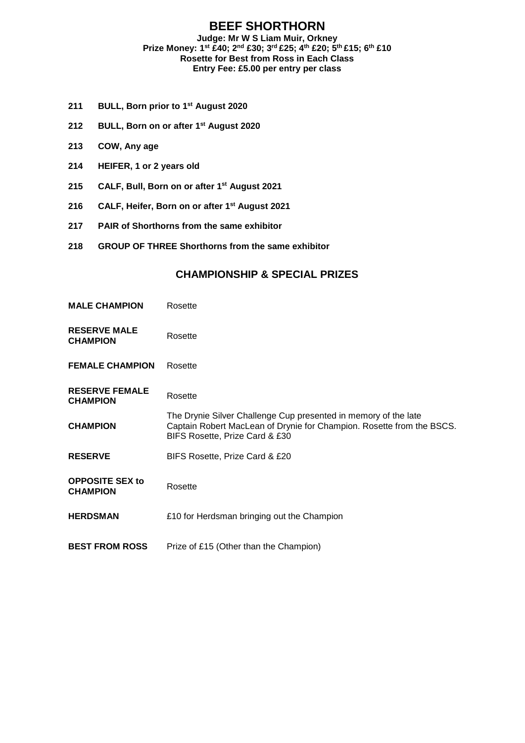#### **BEEF SHORTHORN Judge: Mr W S Liam Muir, Orkney Prize Money: 1st £40; 2nd £30; 3rd £25; 4th £20; 5th £15; 6th £10 Rosette for Best from Ross in Each Class Entry Fee: £5.00 per entry per class**

- **211 BULL, Born prior to 1st August 2020**
- **212 BULL, Born on or after 1st August 2020**
- **213 COW, Any age**
- **214 HEIFER, 1 or 2 years old**
- **215 CALF, Bull, Born on or after 1st August 2021**
- **216 CALF, Heifer, Born on or after 1st August 2021**
- **217 PAIR of Shorthorns from the same exhibitor**
- **218 GROUP OF THREE Shorthorns from the same exhibitor**

| <b>MALE CHAMPION</b>                      | Rosette                                                                                                                                                                    |
|-------------------------------------------|----------------------------------------------------------------------------------------------------------------------------------------------------------------------------|
| <b>RESERVE MALE</b><br><b>CHAMPION</b>    | Rosette                                                                                                                                                                    |
| <b>FEMALE CHAMPION</b>                    | Rosette                                                                                                                                                                    |
| <b>RESERVE FEMALE</b><br><b>CHAMPION</b>  | Rosette                                                                                                                                                                    |
| <b>CHAMPION</b>                           | The Drynie Silver Challenge Cup presented in memory of the late<br>Captain Robert MacLean of Drynie for Champion. Rosette from the BSCS.<br>BIFS Rosette, Prize Card & £30 |
| <b>RESERVE</b>                            | BIFS Rosette, Prize Card & £20                                                                                                                                             |
| <b>OPPOSITE SEX to</b><br><b>CHAMPION</b> | Rosette                                                                                                                                                                    |
| <b>HERDSMAN</b>                           | £10 for Herdsman bringing out the Champion                                                                                                                                 |
| <b>BEST FROM ROSS</b>                     | Prize of £15 (Other than the Champion)                                                                                                                                     |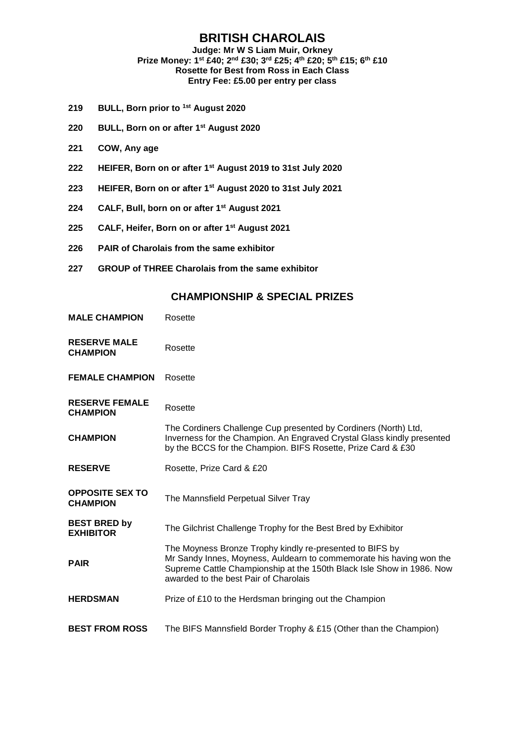#### **BRITISH CHAROLAIS Judge: Mr W S Liam Muir, Orkney Prize Money: 1st £40; 2nd £30; 3rd £25; 4th £20; 5th £15; 6th £10 Rosette for Best from Ross in Each Class Entry Fee: £5.00 per entry per class**

- **219 BULL, Born prior to 1st August 2020**
- **220 BULL, Born on or after 1st August 2020**
- **221 COW, Any age**
- **222 HEIFER, Born on or after 1st August 2019 to 31st July 2020**
- **223 HEIFER, Born on or after 1st August 2020 to 31st July 2021**
- **224 CALF, Bull, born on or after 1st August 2021**
- **225 CALF, Heifer, Born on or after 1st August 2021**
- **226 PAIR of Charolais from the same exhibitor**
- **227 GROUP of THREE Charolais from the same exhibitor**

| <b>MALE CHAMPION</b>                      | Rosette                                                                                                                                                                                                                                           |
|-------------------------------------------|---------------------------------------------------------------------------------------------------------------------------------------------------------------------------------------------------------------------------------------------------|
| <b>RESERVE MALE</b><br><b>CHAMPION</b>    | Rosette                                                                                                                                                                                                                                           |
| <b>FEMALE CHAMPION</b>                    | Rosette                                                                                                                                                                                                                                           |
| <b>RESERVE FEMALE</b><br><b>CHAMPION</b>  | Rosette                                                                                                                                                                                                                                           |
| <b>CHAMPION</b>                           | The Cordiners Challenge Cup presented by Cordiners (North) Ltd,<br>Inverness for the Champion. An Engraved Crystal Glass kindly presented<br>by the BCCS for the Champion. BIFS Rosette, Prize Card & £30                                         |
| <b>RESERVE</b>                            | Rosette, Prize Card & £20                                                                                                                                                                                                                         |
| <b>OPPOSITE SEX TO</b><br><b>CHAMPION</b> | The Mannsfield Perpetual Silver Tray                                                                                                                                                                                                              |
| <b>BEST BRED by</b><br><b>EXHIBITOR</b>   | The Gilchrist Challenge Trophy for the Best Bred by Exhibitor                                                                                                                                                                                     |
| <b>PAIR</b>                               | The Moyness Bronze Trophy kindly re-presented to BIFS by<br>Mr Sandy Innes, Moyness, Auldearn to commemorate his having won the<br>Supreme Cattle Championship at the 150th Black Isle Show in 1986. Now<br>awarded to the best Pair of Charolais |
| <b>HERDSMAN</b>                           | Prize of £10 to the Herdsman bringing out the Champion                                                                                                                                                                                            |
| <b>BEST FROM ROSS</b>                     | The BIFS Mannsfield Border Trophy & £15 (Other than the Champion)                                                                                                                                                                                 |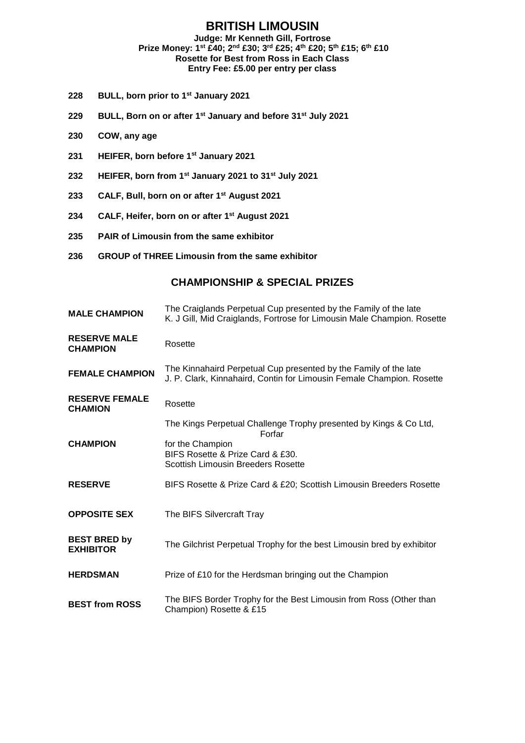### **BRITISH LIMOUSIN**

#### **Judge: Mr Kenneth Gill, Fortrose Prize Money: 1st £40; 2nd £30; 3rd £25; 4th £20; 5th £15; 6th £10 Rosette for Best from Ross in Each Class Entry Fee: £5.00 per entry per class**

- **228 BULL, born prior to 1st January 2021**
- **229 BULL, Born on or after 1st January and before 31st July 2021**
- **230 COW, any age**
- **231 HEIFER, born before 1st January 2021**
- **232 HEIFER, born from 1st January 2021 to 31st July 2021**
- **233 CALF, Bull, born on or after 1st August 2021**
- **234 CALF, Heifer, born on or after 1st August 2021**
- **235 PAIR of Limousin from the same exhibitor**
- **236 GROUP of THREE Limousin from the same exhibitor**

| <b>MALE CHAMPION</b>                    | The Craiglands Perpetual Cup presented by the Family of the late<br>K. J Gill, Mid Craiglands, Fortrose for Limousin Male Champion. Rosette |
|-----------------------------------------|---------------------------------------------------------------------------------------------------------------------------------------------|
| <b>RESERVE MALE</b><br><b>CHAMPION</b>  | Rosette                                                                                                                                     |
| <b>FEMALE CHAMPION</b>                  | The Kinnahaird Perpetual Cup presented by the Family of the late<br>J. P. Clark, Kinnahaird, Contin for Limousin Female Champion. Rosette   |
| <b>RESERVE FEMALE</b><br><b>CHAMION</b> | Rosette                                                                                                                                     |
|                                         | The Kings Perpetual Challenge Trophy presented by Kings & Co Ltd,<br>Forfar                                                                 |
| <b>CHAMPION</b>                         | for the Champion<br>BIFS Rosette & Prize Card & £30.<br><b>Scottish Limousin Breeders Rosette</b>                                           |
| <b>RESERVE</b>                          | BIFS Rosette & Prize Card & £20; Scottish Limousin Breeders Rosette                                                                         |
| <b>OPPOSITE SEX</b>                     | The BIFS Silvercraft Tray                                                                                                                   |
| <b>BEST BRED by</b><br><b>EXHIBITOR</b> | The Gilchrist Perpetual Trophy for the best Limousin bred by exhibitor                                                                      |
| <b>HERDSMAN</b>                         | Prize of £10 for the Herdsman bringing out the Champion                                                                                     |
| <b>BEST from ROSS</b>                   | The BIFS Border Trophy for the Best Limousin from Ross (Other than<br>Champion) Rosette & £15                                               |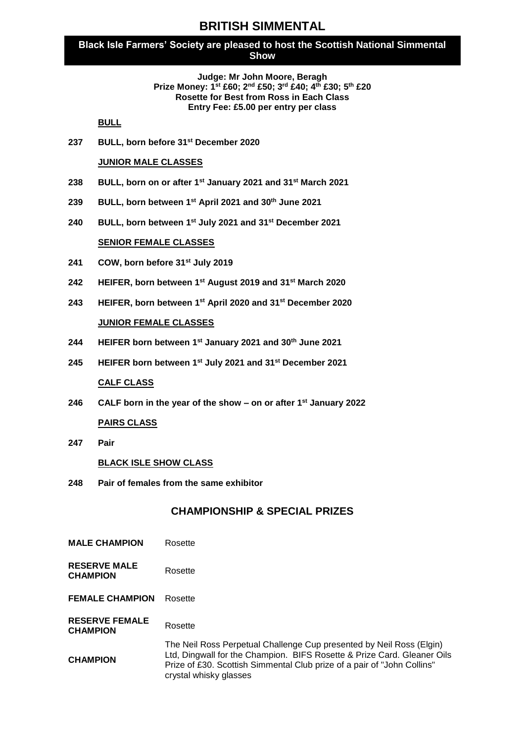### **BRITISH SIMMENTAL**

#### **Black Isle Farmers' Society are pleased to host the Scottish National Simmental Show**

#### **Judge: Mr John Moore, Beragh Prize Money: 1st £60; 2nd £50; 3rd £40; 4th £30; 5th £20 Rosette for Best from Ross in Each Class Entry Fee: £5.00 per entry per class**

**BULL**

**237 BULL, born before 31st December 2020**

#### **JUNIOR MALE CLASSES**

- **238 BULL, born on or after 1st January 2021 and 31st March 2021**
- **239 BULL, born between 1st April 2021 and 30th June 2021**
- **240 BULL, born between 1st July 2021 and 31st December 2021**

#### **SENIOR FEMALE CLASSES**

- **241 COW, born before 31st July 2019**
- **242 HEIFER, born between 1st August 2019 and 31st March 2020**
- **243 HEIFER, born between 1st April 2020 and 31st December 2020**

#### **JUNIOR FEMALE CLASSES**

- **244 HEIFER born between 1st January 2021 and 30th June 2021**
- **245 HEIFER born between 1st July 2021 and 31st December 2021**

#### **CALF CLASS**

**246 CALF born in the year of the show – on or after 1st January 2022**

#### **PAIRS CLASS**

**247 Pair** 

#### **BLACK ISLE SHOW CLASS**

**248 Pair of females from the same exhibitor**

- **MALE CHAMPION** Rosette
- **RESERVE MALE CHAMPION** Rosette
- **FEMALE CHAMPION** Rosette
- **RESERVE FEMALE CHAMPION** Rosette
- **CHAMPION** The Neil Ross Perpetual Challenge Cup presented by Neil Ross (Elgin) Ltd, Dingwall for the Champion. BIFS Rosette & Prize Card. Gleaner Oils Prize of £30. Scottish Simmental Club prize of a pair of "John Collins" crystal whisky glasses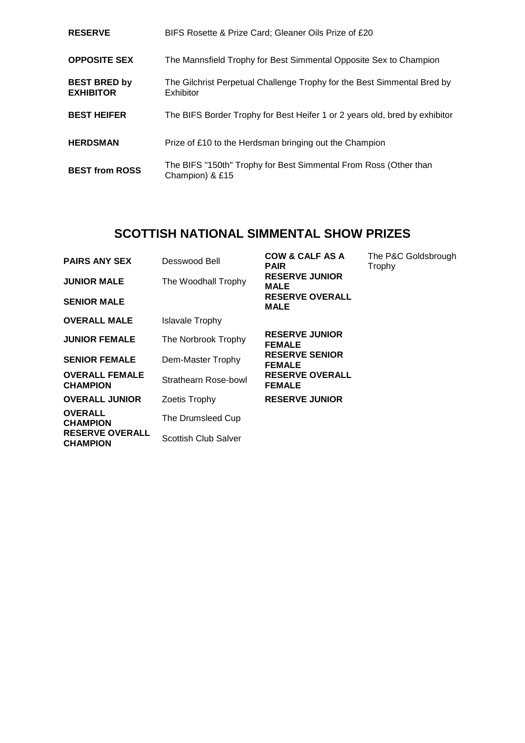| <b>RESERVE</b>                          | BIFS Rosette & Prize Card; Gleaner Oils Prize of £20                                 |
|-----------------------------------------|--------------------------------------------------------------------------------------|
| <b>OPPOSITE SEX</b>                     | The Mannsfield Trophy for Best Simmental Opposite Sex to Champion                    |
| <b>BEST BRED by</b><br><b>EXHIBITOR</b> | The Gilchrist Perpetual Challenge Trophy for the Best Simmental Bred by<br>Exhibitor |
| <b>BEST HEIFER</b>                      | The BIFS Border Trophy for Best Heifer 1 or 2 years old, bred by exhibitor           |
| <b>HERDSMAN</b>                         | Prize of £10 to the Herdsman bringing out the Champion                               |
| <b>BEST from ROSS</b>                   | The BIFS "150th" Trophy for Best Simmental From Ross (Other than<br>Champion) & £15  |

# **SCOTTISH NATIONAL SIMMENTAL SHOW PRIZES**

| <b>PAIRS ANY SEX</b><br><b>JUNIOR MALE</b><br><b>SENIOR MALE</b> | Desswood Bell<br>The Woodhall Trophy | <b>COW &amp; CALF AS A</b><br><b>PAIR</b><br><b>RESERVE JUNIOR</b><br>MALE<br><b>RESERVE OVERALL</b><br><b>MALE</b> | The P&C Goldsbrough<br>Trophy |
|------------------------------------------------------------------|--------------------------------------|---------------------------------------------------------------------------------------------------------------------|-------------------------------|
| <b>OVERALL MALE</b>                                              | Islavale Trophy                      |                                                                                                                     |                               |
| <b>JUNIOR FEMALE</b>                                             | The Norbrook Trophy                  | <b>RESERVE JUNIOR</b><br><b>FEMALE</b>                                                                              |                               |
| <b>SENIOR FEMALE</b>                                             | Dem-Master Trophy                    | <b>RESERVE SENIOR</b><br><b>FEMALE</b>                                                                              |                               |
| <b>OVERALL FEMALE</b><br><b>CHAMPION</b>                         | Strathearn Rose-bowl                 | <b>RESERVE OVERALL</b><br><b>FEMALE</b>                                                                             |                               |
| <b>OVERALL JUNIOR</b>                                            | Zoetis Trophy                        | <b>RESERVE JUNIOR</b>                                                                                               |                               |
| <b>OVERALL</b><br><b>CHAMPION</b>                                | The Drumsleed Cup                    |                                                                                                                     |                               |
| <b>RESERVE OVERALL</b><br><b>CHAMPION</b>                        | Scottish Club Salver                 |                                                                                                                     |                               |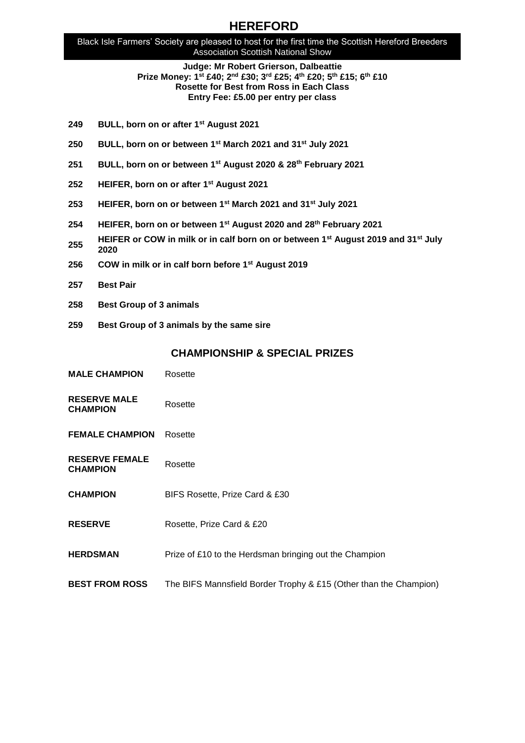## **HEREFORD**

Black Isle Farmers' Society are pleased to host for the first time the Scottish Hereford Breeders Association Scottish National Show

> **Judge: Mr Robert Grierson, Dalbeattie Prize Money: 1st £40; 2nd £30; 3rd £25; 4th £20; 5th £15; 6th £10 Rosette for Best from Ross in Each Class Entry Fee: £5.00 per entry per class**

- **249 BULL, born on or after 1st August 2021**
- **250 BULL, born on or between 1st March 2021 and 31st July 2021**
- **251 BULL, born on or between 1st August 2020 & 28th February 2021**
- **252 HEIFER, born on or after 1st August 2021**
- **253 HEIFER, born on or between 1st March 2021 and 31st July 2021**
- **254 HEIFER, born on or between 1st August 2020 and 28th February 2021**
- **255 HEIFER or COW in milk or in calf born on or between 1st August 2019 and 31st July 2020**
- **256 COW in milk or in calf born before 1st August 2019**
- **257 Best Pair**
- **258 Best Group of 3 animals**
- **259 Best Group of 3 animals by the same sire**

| <b>MALE CHAMPION</b> | Rosette |
|----------------------|---------|
|                      |         |

- **RESERVE MALE CHAMPION** Rosette
- **FEMALE CHAMPION** Rosette
- **RESERVE FEMALE CHAMPION** Rosette
- **CHAMPION** BIFS Rosette, Prize Card & £30
- **RESERVE** Rosette, Prize Card & £20
- **HERDSMAN** Prize of £10 to the Herdsman bringing out the Champion
- **BEST FROM ROSS** The BIFS Mannsfield Border Trophy & £15 (Other than the Champion)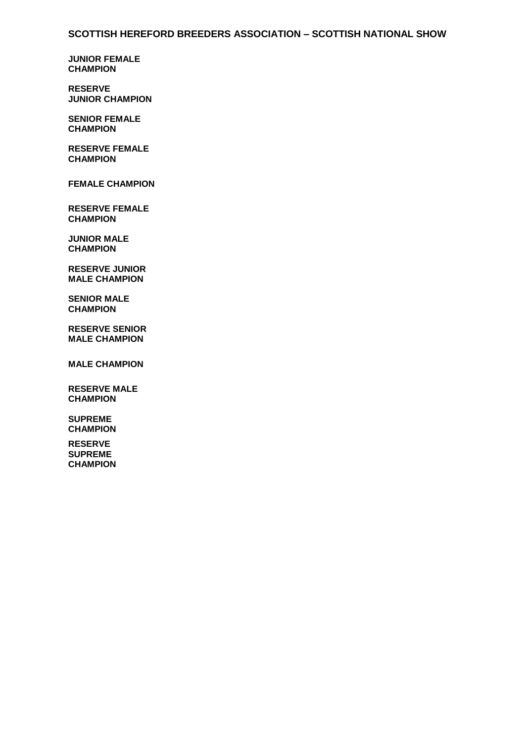**JUNIOR FEMALE CHAMPION**

**RESERVE JUNIOR CHAMPION**

**SENIOR FEMALE CHAMPION**

**RESERVE FEMALE CHAMPION**

**FEMALE CHAMPION**

**RESERVE FEMALE CHAMPION**

**JUNIOR MALE CHAMPION**

**RESERVE JUNIOR MALE CHAMPION**

**SENIOR MALE CHAMPION**

**RESERVE SENIOR MALE CHAMPION**

**MALE CHAMPION**

**RESERVE MALE CHAMPION**

**SUPREME CHAMPION**

**RESERVE SUPREME CHAMPION**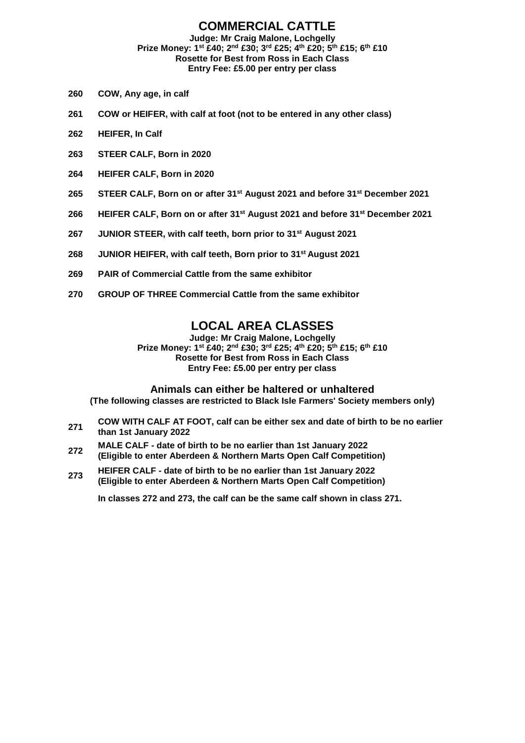#### **COMMERCIAL CATTLE Judge: Mr Craig Malone, Lochgelly Prize Money: 1st £40; 2nd £30; 3rd £25; 4th £20; 5th £15; 6th £10 Rosette for Best from Ross in Each Class**

**Entry Fee: £5.00 per entry per class**

# **260 COW, Any age, in calf**

- **261 COW or HEIFER, with calf at foot (not to be entered in any other class)**
- **262 HEIFER, In Calf**
- **263 STEER CALF, Born in 2020**
- **264 HEIFER CALF, Born in 2020**
- **265 STEER CALF, Born on or after 31st August 2021 and before 31st December 2021**
- **266 HEIFER CALF, Born on or after 31st August 2021 and before 31st December 2021**
- **267 JUNIOR STEER, with calf teeth, born prior to 31st August 2021**
- **268 JUNIOR HEIFER, with calf teeth, Born prior to 31st August 2021**
- **269 PAIR of Commercial Cattle from the same exhibitor**
- **270 GROUP OF THREE Commercial Cattle from the same exhibitor**

### **LOCAL AREA CLASSES**

**Judge: Mr Craig Malone, Lochgelly Prize Money: 1st £40; 2nd £30; 3rd £25; 4th £20; 5th £15; 6th £10 Rosette for Best from Ross in Each Class Entry Fee: £5.00 per entry per class**

#### **Animals can either be haltered or unhaltered**

**(The following classes are restricted to Black Isle Farmers' Society members only)**

- **271 COW WITH CALF AT FOOT, calf can be either sex and date of birth to be no earlier than 1st January 2022**
- **272 MALE CALF - date of birth to be no earlier than 1st January 2022 (Eligible to enter Aberdeen & Northern Marts Open Calf Competition)**
- **273 HEIFER CALF - date of birth to be no earlier than 1st January 2022 (Eligible to enter Aberdeen & Northern Marts Open Calf Competition)**

**In classes 272 and 273, the calf can be the same calf shown in class 271.**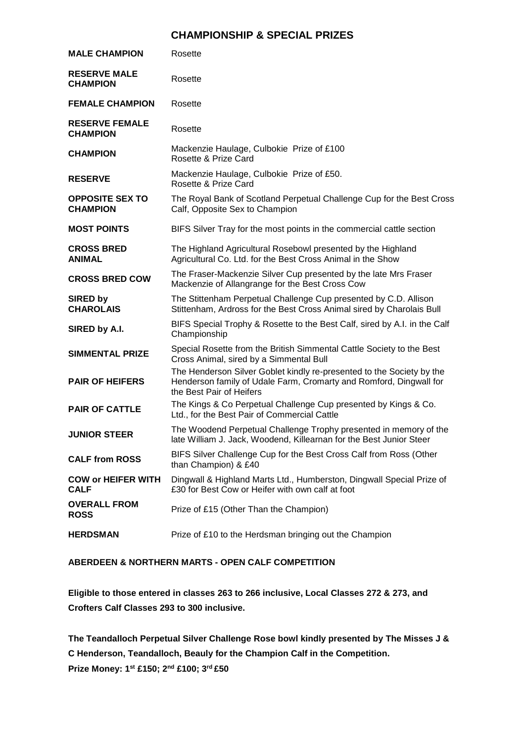### **CHAMPIONSHIP & SPECIAL PRIZES**

| <b>MALE CHAMPION</b>                      | Rosette                                                                                                                                                                 |
|-------------------------------------------|-------------------------------------------------------------------------------------------------------------------------------------------------------------------------|
| <b>RESERVE MALE</b><br><b>CHAMPION</b>    | Rosette                                                                                                                                                                 |
| <b>FEMALE CHAMPION</b>                    | Rosette                                                                                                                                                                 |
| <b>RESERVE FEMALE</b><br><b>CHAMPION</b>  | Rosette                                                                                                                                                                 |
| <b>CHAMPION</b>                           | Mackenzie Haulage, Culbokie Prize of £100<br>Rosette & Prize Card                                                                                                       |
| <b>RESERVE</b>                            | Mackenzie Haulage, Culbokie Prize of £50.<br>Rosette & Prize Card                                                                                                       |
| <b>OPPOSITE SEX TO</b><br><b>CHAMPION</b> | The Royal Bank of Scotland Perpetual Challenge Cup for the Best Cross<br>Calf, Opposite Sex to Champion                                                                 |
| <b>MOST POINTS</b>                        | BIFS Silver Tray for the most points in the commercial cattle section                                                                                                   |
| <b>CROSS BRED</b><br><b>ANIMAL</b>        | The Highland Agricultural Rosebowl presented by the Highland<br>Agricultural Co. Ltd. for the Best Cross Animal in the Show                                             |
| <b>CROSS BRED COW</b>                     | The Fraser-Mackenzie Silver Cup presented by the late Mrs Fraser<br>Mackenzie of Allangrange for the Best Cross Cow                                                     |
| <b>SIRED by</b><br><b>CHAROLAIS</b>       | The Stittenham Perpetual Challenge Cup presented by C.D. Allison<br>Stittenham, Ardross for the Best Cross Animal sired by Charolais Bull                               |
| SIRED by A.I.                             | BIFS Special Trophy & Rosette to the Best Calf, sired by A.I. in the Calf<br>Championship                                                                               |
| <b>SIMMENTAL PRIZE</b>                    | Special Rosette from the British Simmental Cattle Society to the Best<br>Cross Animal, sired by a Simmental Bull                                                        |
| <b>PAIR OF HEIFERS</b>                    | The Henderson Silver Goblet kindly re-presented to the Society by the<br>Henderson family of Udale Farm, Cromarty and Romford, Dingwall for<br>the Best Pair of Heifers |
| <b>PAIR OF CATTLE</b>                     | The Kings & Co Perpetual Challenge Cup presented by Kings & Co.<br>Ltd., for the Best Pair of Commercial Cattle                                                         |
| <b>JUNIOR STEER</b>                       | The Woodend Perpetual Challenge Trophy presented in memory of the<br>late William J. Jack, Woodend, Killearnan for the Best Junior Steer                                |
| <b>CALF from ROSS</b>                     | BIFS Silver Challenge Cup for the Best Cross Calf from Ross (Other<br>than Champion) & £40                                                                              |
| <b>COW or HEIFER WITH</b><br><b>CALF</b>  | Dingwall & Highland Marts Ltd., Humberston, Dingwall Special Prize of<br>£30 for Best Cow or Heifer with own calf at foot                                               |
| <b>OVERALL FROM</b><br><b>ROSS</b>        | Prize of £15 (Other Than the Champion)                                                                                                                                  |
| <b>HERDSMAN</b>                           | Prize of £10 to the Herdsman bringing out the Champion                                                                                                                  |

**ABERDEEN & NORTHERN MARTS - OPEN CALF COMPETITION** 

**Eligible to those entered in classes 263 to 266 inclusive, Local Classes 272 & 273, and Crofters Calf Classes 293 to 300 inclusive.**

**The Teandalloch Perpetual Silver Challenge Rose bowl kindly presented by The Misses J & C Henderson, Teandalloch, Beauly for the Champion Calf in the Competition. Prize Money: 1st £150; 2nd £100; 3rd £50**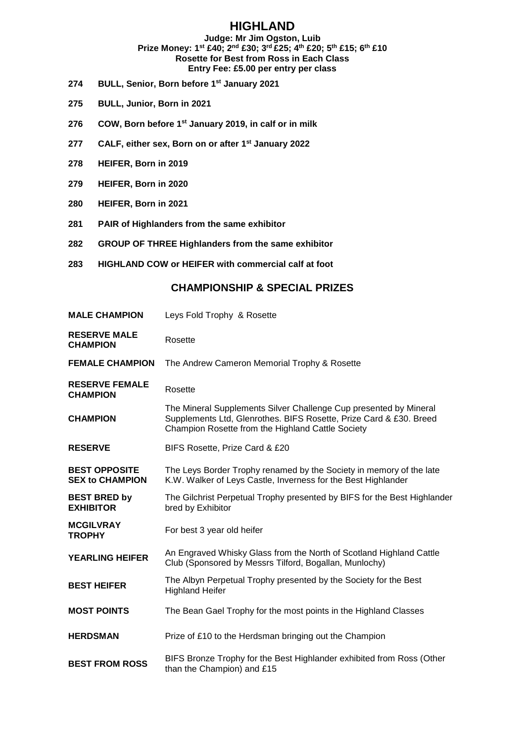### **HIGHLAND**

#### **Judge: Mr Jim Ogston, Luib Prize Money: 1st £40; 2nd £30; 3rd £25; 4th £20; 5th £15; 6th £10 Rosette for Best from Ross in Each Class Entry Fee: £5.00 per entry per class**

- **274 BULL, Senior, Born before 1st January 2021**
- **275 BULL, Junior, Born in 2021**
- **276 COW, Born before 1st January 2019, in calf or in milk**
- **277 CALF, either sex, Born on or after 1st January 2022**
- **278 HEIFER, Born in 2019**
- **279 HEIFER, Born in 2020**
- **280 HEIFER, Born in 2021**
- **281 PAIR of Highlanders from the same exhibitor**
- **282 GROUP OF THREE Highlanders from the same exhibitor**
- **283 HIGHLAND COW or HEIFER with commercial calf at foot**

| <b>MALE CHAMPION</b>                           | Leys Fold Trophy & Rosette                                                                                                                                                                   |
|------------------------------------------------|----------------------------------------------------------------------------------------------------------------------------------------------------------------------------------------------|
| <b>RESERVE MALE</b><br><b>CHAMPION</b>         | Rosette                                                                                                                                                                                      |
| <b>FEMALE CHAMPION</b>                         | The Andrew Cameron Memorial Trophy & Rosette                                                                                                                                                 |
| <b>RESERVE FEMALE</b><br><b>CHAMPION</b>       | Rosette                                                                                                                                                                                      |
| <b>CHAMPION</b>                                | The Mineral Supplements Silver Challenge Cup presented by Mineral<br>Supplements Ltd, Glenrothes. BIFS Rosette, Prize Card & £30. Breed<br>Champion Rosette from the Highland Cattle Society |
| <b>RESERVE</b>                                 | BIFS Rosette, Prize Card & £20                                                                                                                                                               |
| <b>BEST OPPOSITE</b><br><b>SEX to CHAMPION</b> | The Leys Border Trophy renamed by the Society in memory of the late<br>K.W. Walker of Leys Castle, Inverness for the Best Highlander                                                         |
| <b>BEST BRED by</b><br><b>EXHIBITOR</b>        | The Gilchrist Perpetual Trophy presented by BIFS for the Best Highlander<br>bred by Exhibitor                                                                                                |
| <b>MCGILVRAY</b><br><b>TROPHY</b>              | For best 3 year old heifer                                                                                                                                                                   |
| <b>YEARLING HEIFER</b>                         | An Engraved Whisky Glass from the North of Scotland Highland Cattle<br>Club (Sponsored by Messrs Tilford, Bogallan, Munlochy)                                                                |
| <b>BEST HEIFER</b>                             | The Albyn Perpetual Trophy presented by the Society for the Best<br><b>Highland Heifer</b>                                                                                                   |
| <b>MOST POINTS</b>                             | The Bean Gael Trophy for the most points in the Highland Classes                                                                                                                             |
| <b>HERDSMAN</b>                                | Prize of £10 to the Herdsman bringing out the Champion                                                                                                                                       |
| <b>BEST FROM ROSS</b>                          | BIFS Bronze Trophy for the Best Highlander exhibited from Ross (Other<br>than the Champion) and £15                                                                                          |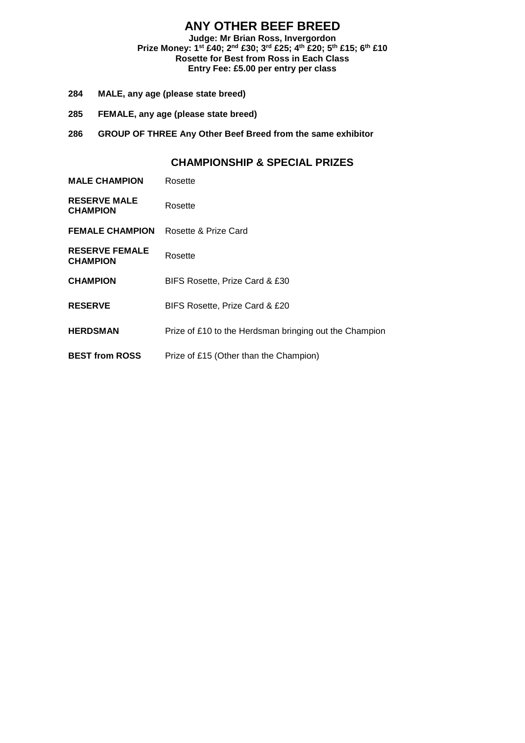### **ANY OTHER BEEF BREED**

**Judge: Mr Brian Ross, Invergordon Prize Money: 1st £40; 2nd £30; 3rd £25; 4 th £20; 5th £15; 6th £10 Rosette for Best from Ross in Each Class Entry Fee: £5.00 per entry per class**

- **284 MALE, any age (please state breed)**
- **285 FEMALE, any age (please state breed)**
- **286 GROUP OF THREE Any Other Beef Breed from the same exhibitor**

| <b>MALE CHAMPION</b>                     | Rosette                                                |
|------------------------------------------|--------------------------------------------------------|
| <b>RESERVE MALE</b><br><b>CHAMPION</b>   | Rosette                                                |
| <b>FEMALE CHAMPION</b>                   | Rosette & Prize Card                                   |
| <b>RESERVE FEMALE</b><br><b>CHAMPION</b> | Rosette                                                |
| <b>CHAMPION</b>                          | BIFS Rosette, Prize Card & £30                         |
| <b>RESERVE</b>                           | BIFS Rosette, Prize Card & £20                         |
| <b>HERDSMAN</b>                          | Prize of £10 to the Herdsman bringing out the Champion |
| <b>BEST from ROSS</b>                    | Prize of £15 (Other than the Champion)                 |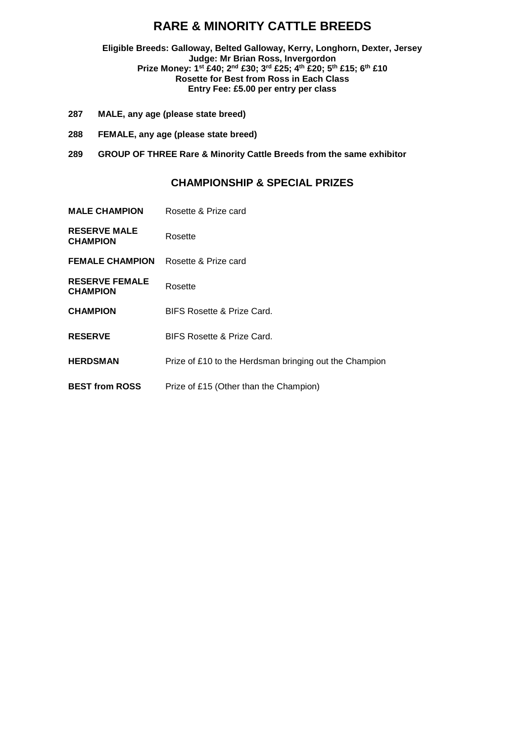## **RARE & MINORITY CATTLE BREEDS**

**Eligible Breeds: Galloway, Belted Galloway, Kerry, Longhorn, Dexter, Jersey Judge: Mr Brian Ross, Invergordon Prize Money: 1st £40; 2nd £30; 3rd £25; 4th £20; 5th £15; 6th £10 Rosette for Best from Ross in Each Class Entry Fee: £5.00 per entry per class**

- **287 MALE, any age (please state breed)**
- **288 FEMALE, any age (please state breed)**
- **289 GROUP OF THREE Rare & Minority Cattle Breeds from the same exhibitor**

| <b>MALE CHAMPION</b>                     | Rosette & Prize card                                   |
|------------------------------------------|--------------------------------------------------------|
| <b>RESERVE MALE</b><br><b>CHAMPION</b>   | Rosette                                                |
| <b>FEMALE CHAMPION</b>                   | Rosette & Prize card                                   |
| <b>RESERVE FEMALE</b><br><b>CHAMPION</b> | Rosette                                                |
| <b>CHAMPION</b>                          | <b>BIFS Rosette &amp; Prize Card.</b>                  |
| <b>RESERVE</b>                           | BIFS Rosette & Prize Card.                             |
| <b>HERDSMAN</b>                          | Prize of £10 to the Herdsman bringing out the Champion |
| <b>BEST from ROSS</b>                    | Prize of £15 (Other than the Champion)                 |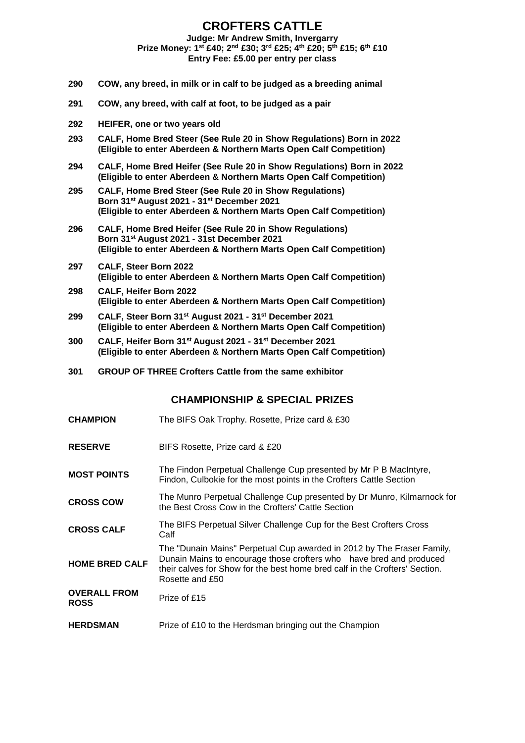#### **CROFTERS CATTLE Judge: Mr Andrew Smith, Invergarry Prize Money: 1st £40; 2nd £30; 3rd £25; 4th £20; 5th £15; 6th £10**

**Entry Fee: £5.00 per entry per class**

- **290 COW, any breed, in milk or in calf to be judged as a breeding animal**
- **291 COW, any breed, with calf at foot, to be judged as a pair**
- **292 HEIFER, one or two years old**
- **293 CALF, Home Bred Steer (See Rule 20 in Show Regulations) Born in 2022 (Eligible to enter Aberdeen & Northern Marts Open Calf Competition)**
- **294 CALF, Home Bred Heifer (See Rule 20 in Show Regulations) Born in 2022 (Eligible to enter Aberdeen & Northern Marts Open Calf Competition)**
- **295 CALF, Home Bred Steer (See Rule 20 in Show Regulations) Born 31st August 2021 - 31st December 2021 (Eligible to enter Aberdeen & Northern Marts Open Calf Competition)**
- **296 CALF, Home Bred Heifer (See Rule 20 in Show Regulations) Born 31st August 2021 - 31st December 2021 (Eligible to enter Aberdeen & Northern Marts Open Calf Competition)**
- **297 CALF, Steer Born 2022 (Eligible to enter Aberdeen & Northern Marts Open Calf Competition)**
- **298 CALF, Heifer Born 2022 (Eligible to enter Aberdeen & Northern Marts Open Calf Competition)**
- **299 CALF, Steer Born 31st August 2021 - 31st December 2021 (Eligible to enter Aberdeen & Northern Marts Open Calf Competition)**
- **300 CALF, Heifer Born 31st August 2021 - 31st December 2021 (Eligible to enter Aberdeen & Northern Marts Open Calf Competition)**
- **301 GROUP OF THREE Crofters Cattle from the same exhibitor**

#### **CHAMPIONSHIP & SPECIAL PRIZES**

**CHAMPION** The BIFS Oak Trophy. Rosette, Prize card & £30 **RESERVE** BIFS Rosette, Prize card & £20 **MOST POINTS** The Findon Perpetual Challenge Cup presented by Mr P B MacIntyre, Findon, Culbokie for the most points in the Crofters Cattle Section **CROSS COW** The Munro Perpetual Challenge Cup presented by Dr Munro, Kilmarnock for the Best Cross Cow in the Crofters' Cattle Section **CROSS CALF** The BIFS Perpetual Silver Challenge Cup for the Best Crofters Cross Calf **HOME BRED CALF** The "Dunain Mains" Perpetual Cup awarded in 2012 by The Fraser Family, Dunain Mains to encourage those crofters who have bred and produced their calves for Show for the best home bred calf in the Crofters' Section. Rosette and £50 **OVERALL FROM**  Prize of £15 **HERDSMAN** Prize of £10 to the Herdsman bringing out the Champion